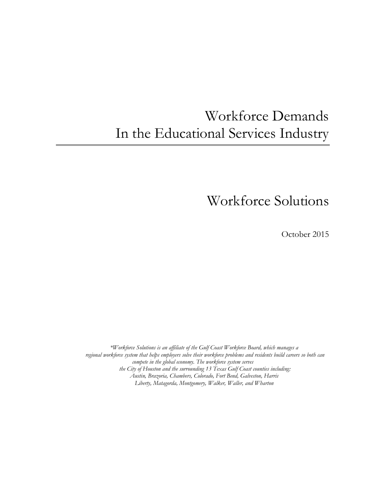# Workforce Demands In the Educational Services Industry

Workforce Solutions

October 2015

*\*Workforce Solutions is an affiliate of the Gulf Coast Workforce Board, which manages a regional workforce system that helps employers solve their workforce problems and residents build careers so both can compete in the global economy. The workforce system serves the City of Houston and the surrounding 13 Texas Gulf Coast counties including: Austin, Brazoria, Chambers, Colorado, Fort Bend, Galveston, Harris Liberty, Matagorda, Montgomery, Walker, Waller, and Wharton*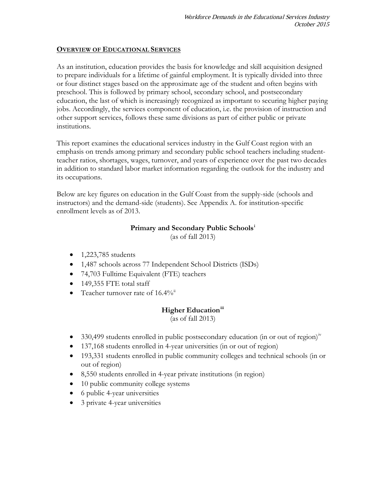### **OVERVIEW OF EDUCATIONAL SERVICES**

As an institution, education provides the basis for knowledge and skill acquisition designed to prepare individuals for a lifetime of gainful employment. It is typically divided into three or four distinct stages based on the approximate age of the student and often begins with preschool. This is followed by primary school, secondary school, and postsecondary education, the last of which is increasingly recognized as important to securing higher paying jobs. Accordingly, the services component of education, i.e. the provision of instruction and other support services, follows these same divisions as part of either public or private institutions.

This report examines the educational services industry in the Gulf Coast region with an emphasis on trends among primary and secondary public school teachers including studentteacher ratios, shortages, wages, turnover, and years of experience over the past two decades in addition to standard labor market information regarding the outlook for the industry and its occupations.

Below are key figures on education in the Gulf Coast from the supply-side (schools and instructors) and the demand-side (students). See Appendix A. for institution-specific enrollment levels as of 2013.

### **Primary and Secondary Public Schools[i](#page-18-0)**

(as of fall 2013)

- 1,223,785 students
- 1,487 schools across 77 Independent School Districts (ISDs)
- 74,703 Fulltime Equivalent (FTE) teachers
- 149,355 FTE total staff
- Teacher turnover rate of  $16.4\%$ <sup>[ii](#page-18-1)</sup>

### **Higher Education[iii](#page-18-2)**

(as of fall 2013)

- 330,499 students enrolled in public postsecondary education (in or out of region) $\frac{iv}{i}$  $\frac{iv}{i}$  $\frac{iv}{i}$
- 137,168 students enrolled in 4-year universities (in or out of region)
- 193,331 students enrolled in public community colleges and technical schools (in or out of region)
- 8,550 students enrolled in 4-year private institutions (in region)
- 10 public community college systems
- 6 public 4-year universities
- 3 private 4-year universities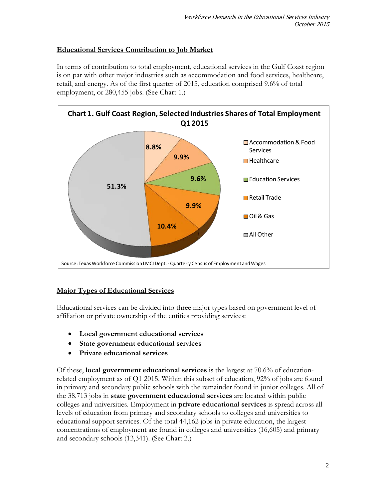## **Educational Services Contribution to Job Market**

In terms of contribution to total employment, educational services in the Gulf Coast region is on par with other major industries such as accommodation and food services, healthcare, retail, and energy. As of the first quarter of 2015, education comprised 9.6% of total employment, or 280,455 jobs. (See Chart 1.)



## **Major Types of Educational Services**

Educational services can be divided into three major types based on government level of affiliation or private ownership of the entities providing services:

- **Local government educational services**
- **State government educational services**
- **Private educational services**

Of these, **local government educational services** is the largest at 70.6% of educationrelated employment as of Q1 2015. Within this subset of education, 92% of jobs are found in primary and secondary public schools with the remainder found in junior colleges. All of the 38,713 jobs in **state government educational services** are located within public colleges and universities. Employment in **private educational services** is spread across all levels of education from primary and secondary schools to colleges and universities to educational support services. Of the total 44,162 jobs in private education, the largest concentrations of employment are found in colleges and universities (16,605) and primary and secondary schools (13,341). (See Chart 2.)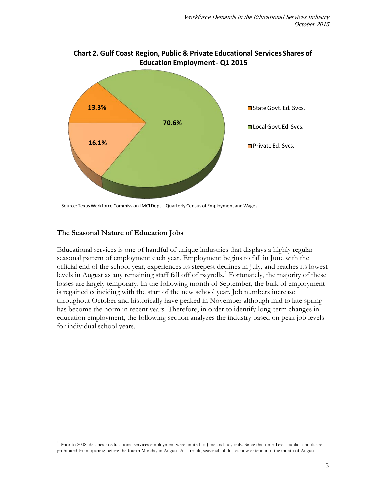

### **The Seasonal Nature of Education Jobs**

Educational services is one of handful of unique industries that displays a highly regular seasonal pattern of employment each year. Employment begins to fall in June with the official end of the school year, experiences its steepest declines in July, and reaches its lowest levels in August as any remaining staff fall off of payrolls.<sup>[1](#page-3-0)</sup> Fortunately, the majority of these losses are largely temporary. In the following month of September, the bulk of employment is regained coinciding with the start of the new school year. Job numbers increase throughout October and historically have peaked in November although mid to late spring has become the norm in recent years. Therefore, in order to identify long-term changes in education employment, the following section analyzes the industry based on peak job levels for individual school years.

<span id="page-3-0"></span><sup>&</sup>lt;sup>1</sup> Prior to 2008, declines in educational services employment were limited to June and July only. Since that time Texas public schools are prohibited from opening before the fourth Monday in August. As a result, seasonal job losses now extend into the month of August.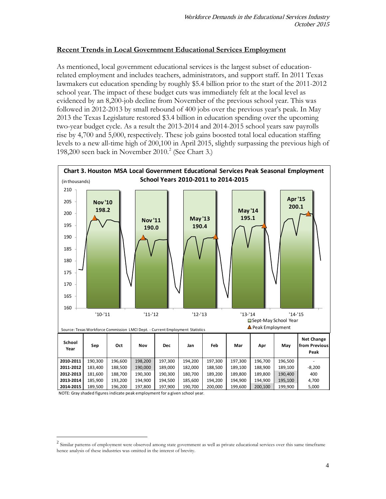### **Recent Trends in Local Government Educational Services Employment**

As mentioned, local government educational services is the largest subset of educationrelated employment and includes teachers, administrators, and support staff. In 2011 Texas lawmakers cut education spending by roughly \$5.4 billion prior to the start of the 2011-2012 school year. The impact of these budget cuts was immediately felt at the local level as evidenced by an 8,200-job decline from November of the previous school year. This was followed in 2012-2013 by small rebound of 400 jobs over the previous year's peak. In May 2013 the Texas Legislature restored \$3.4 billion in education spending over the upcoming two-year budget cycle. As a result the 2013-2014 and 2014-2015 school years saw payrolls rise by 4,700 and 5,000, respectively. These job gains boosted total local education staffing levels to a new all-time high of 200,100 in April 2015, slightly surpassing the previous high of 198,[2](#page-4-0)00 seen back in November  $2010<sup>2</sup>$  (See Chart 3.)



NOTE: Gray shaded figures indicate peak employment for a given school year.

<span id="page-4-0"></span> $2$  Similar patterns of employment were observed among state government as well as private educational services over this same timeframe hence analysis of these industries was omitted in the interest of brevity.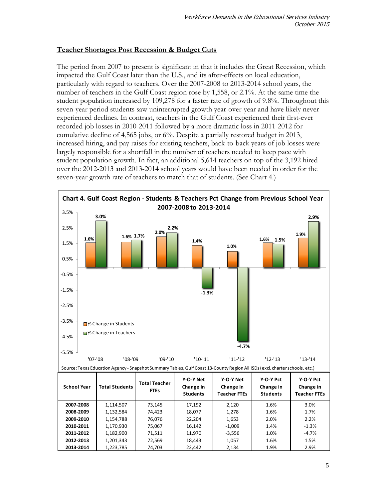### **Teacher Shortages Post Recession & Budget Cuts**

The period from 2007 to present is significant in that it includes the Great Recession, which impacted the Gulf Coast later than the U.S., and its after-effects on local education, particularly with regard to teachers. Over the 2007-2008 to 2013-2014 school years, the number of teachers in the Gulf Coast region rose by 1,558, or 2.1%. At the same time the student population increased by 109,278 for a faster rate of growth of 9.8%. Throughout this seven-year period students saw uninterrupted growth year-over-year and have likely never experienced declines. In contrast, teachers in the Gulf Coast experienced their first-ever recorded job losses in 2010-2011 followed by a more dramatic loss in 2011-2012 for cumulative decline of 4,565 jobs, or 6%. Despite a partially restored budget in 2013, increased hiring, and pay raises for existing teachers, back-to-back years of job losses were largely responsible for a shortfall in the number of teachers needed to keep pace with student population growth. In fact, an additional 5,614 teachers on top of the 3,192 hired over the 2012-2013 and 2013-2014 school years would have been needed in order for the seven-year growth rate of teachers to match that of students. (See Chart 4.)



| <b>School Year</b> | <b>Total Students</b> | <b>Total Teacher</b><br><b>FTEs</b> | Y-O-Y Net<br>Change in<br><b>Students</b> | Y-O-Y Net<br>Change in<br><b>Teacher FTEs</b> | Y-O-Y Pct<br>Change in<br><b>Students</b> | Y-O-Y Pct<br>Change in<br><b>Teacher FTEs</b> |
|--------------------|-----------------------|-------------------------------------|-------------------------------------------|-----------------------------------------------|-------------------------------------------|-----------------------------------------------|
| 2007-2008          | 1,114,507             | 73,145                              | 17,192                                    | 2,120                                         | 1.6%                                      | 3.0%                                          |
| 2008-2009          | 1,132,584             | 74,423                              | 18,077                                    | 1,278                                         | 1.6%                                      | 1.7%                                          |
| 2009-2010          | 1,154,788             | 76,076                              | 22,204                                    | 1,653                                         | 2.0%                                      | 2.2%                                          |
| 2010-2011          | 1,170,930             | 75,067                              | 16,142                                    | $-1,009$                                      | 1.4%                                      | $-1.3%$                                       |
| 2011-2012          | 1,182,900             | 71,511                              | 11,970                                    | $-3,556$                                      | 1.0%                                      | $-4.7%$                                       |
| 2012-2013          | 1,201,343             | 72,569                              | 18,443                                    | 1,057                                         | 1.6%                                      | 1.5%                                          |
| 2013-2014          | 1,223,785             | 74,703                              | 22.442                                    | 2,134                                         | 1.9%                                      | 2.9%                                          |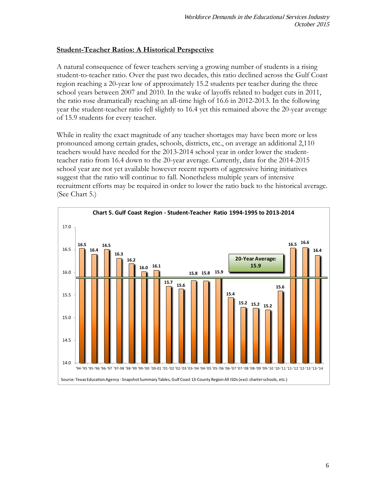### **Student-Teacher Ratios: A Historical Perspective**

A natural consequence of fewer teachers serving a growing number of students is a rising student-to-teacher ratio. Over the past two decades, this ratio declined across the Gulf Coast region reaching a 20-year low of approximately 15.2 students per teacher during the three school years between 2007 and 2010. In the wake of layoffs related to budget cuts in 2011, the ratio rose dramatically reaching an all-time high of 16.6 in 2012-2013. In the following year the student-teacher ratio fell slightly to 16.4 yet this remained above the 20-year average of 15.9 students for every teacher.

While in reality the exact magnitude of any teacher shortages may have been more or less pronounced among certain grades, schools, districts, etc., on average an additional 2,110 teachers would have needed for the 2013-2014 school year in order lower the studentteacher ratio from 16.4 down to the 20-year average. Currently, data for the 2014-2015 school year are not yet available however recent reports of aggressive hiring initiatives suggest that the ratio will continue to fall. Nonetheless multiple years of intensive recruitment efforts may be required in order to lower the ratio back to the historical average. (See Chart 5.)

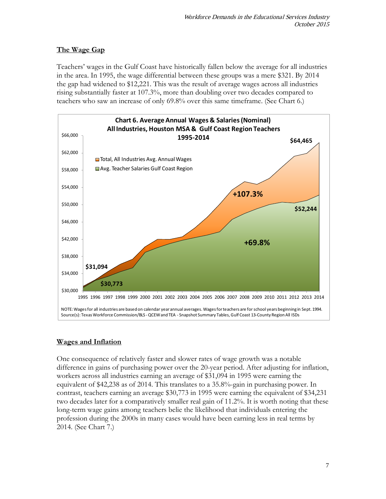# **The Wage Gap**

Teachers' wages in the Gulf Coast have historically fallen below the average for all industries in the area. In 1995, the wage differential between these groups was a mere \$321. By 2014 the gap had widened to \$12,221. This was the result of average wages across all industries rising substantially faster at 107.3%, more than doubling over two decades compared to teachers who saw an increase of only 69.8% over this same timeframe. (See Chart 6.)



# **Wages and Inflation**

One consequence of relatively faster and slower rates of wage growth was a notable difference in gains of purchasing power over the 20-year period. After adjusting for inflation, workers across all industries earning an average of \$31,094 in 1995 were earning the equivalent of \$42,238 as of 2014. This translates to a 35.8%-gain in purchasing power. In contrast, teachers earning an average \$30,773 in 1995 were earning the equivalent of \$34,231 two decades later for a comparatively smaller real gain of 11.2%. It is worth noting that these long-term wage gains among teachers belie the likelihood that individuals entering the profession during the 2000s in many cases would have been earning less in real terms by 2014. (See Chart 7.)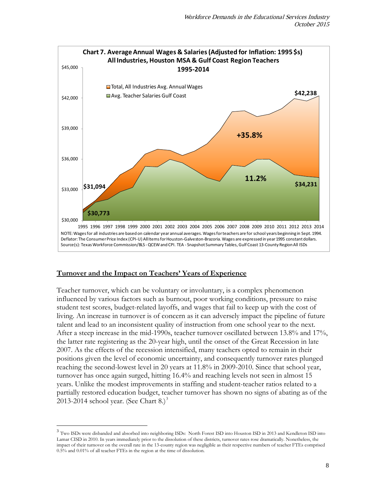

### **Turnover and the Impact on Teachers' Years of Experience**

Teacher turnover, which can be voluntary or involuntary, is a complex phenomenon influenced by various factors such as burnout, poor working conditions, pressure to raise student test scores, budget-related layoffs, and wages that fail to keep up with the cost of living. An increase in turnover is of concern as it can adversely impact the pipeline of future talent and lead to an inconsistent quality of instruction from one school year to the next. After a steep increase in the mid-1990s, teacher turnover oscillated between 13.8% and 17%, the latter rate registering as the 20-year high, until the onset of the Great Recession in late 2007. As the effects of the recession intensified, many teachers opted to remain in their positions given the level of economic uncertainty, and consequently turnover rates plunged reaching the second-lowest level in 20 years at 11.8% in 2009-2010. Since that school year, turnover has once again surged, hitting 16.4% and reaching levels not seen in almost 15 years. Unlike the modest improvements in staffing and student-teacher ratios related to a partially restored education budget, teacher turnover has shown no signs of abating as of the 201[3](#page-8-0)-2014 school year. (See Chart  $8$ .)<sup>3</sup>

<span id="page-8-0"></span><sup>&</sup>lt;sup>3</sup> Two ISDs were disbanded and absorbed into neighboring ISDs: North Forest ISD into Houston ISD in 2013 and Kendleton ISD into Lamar CISD in 2010. In years immediately prior to the dissolution of these districts, turnover rates rose dramatically. Nonetheless, the impact of their turnover on the overall rate in the 13-county region was negligible as their respective numbers of teacher FTEs comprised 0.5% and 0.01% of all teacher FTEs in the region at the time of dissolution.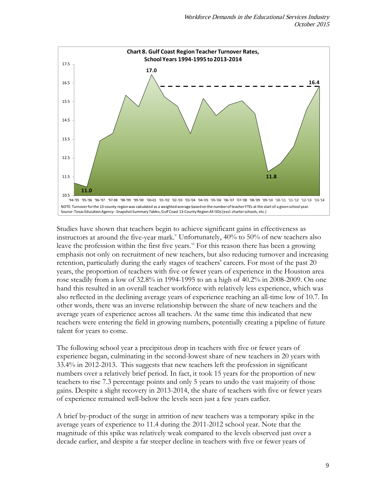

Studies have shown that teachers begin to achieve significant gains in effectiveness as instructors at around the fi[v](#page-18-4)e-year mark.<sup>v</sup> Unfortunately,  $40\%$  to 50% of new teachers also leave the profession within the first five years.<sup>[vi](#page-18-5)</sup> For this reason there has been a growing emphasis not only on recruitment of new teachers, but also reducing turnover and increasing retention, particularly during the early stages of teachers' careers. For most of the past 20 years, the proportion of teachers with five or fewer years of experience in the Houston area rose steadily from a low of 32.8% in 1994-1995 to an a high of 40.2% in 2008-2009. On one hand this resulted in an overall teacher workforce with relatively less experience, which was also reflected in the declining average years of experience reaching an all-time low of 10.7. In other words, there was an inverse relationship between the share of new teachers and the average years of experience across all teachers. At the same time this indicated that new teachers were entering the field in growing numbers, potentially creating a pipeline of future talent for years to come.

The following school year a precipitous drop in teachers with five or fewer years of experience began, culminating in the second-lowest share of new teachers in 20 years with 33.4% in 2012-2013. This suggests that new teachers left the profession in significant numbers over a relatively brief period. In fact, it took 15 years for the proportion of new teachers to rise 7.3 percentage points and only 5 years to undo the vast majority of those gains. Despite a slight recovery in 2013-2014, the share of teachers with five or fewer years of experience remained well-below the levels seen just a few years earlier.

A brief by-product of the surge in attrition of new teachers was a temporary spike in the average years of experience to 11.4 during the 2011-2012 school year. Note that the magnitude of this spike was relatively weak compared to the levels observed just over a decade earlier, and despite a far steeper decline in teachers with five or fewer years of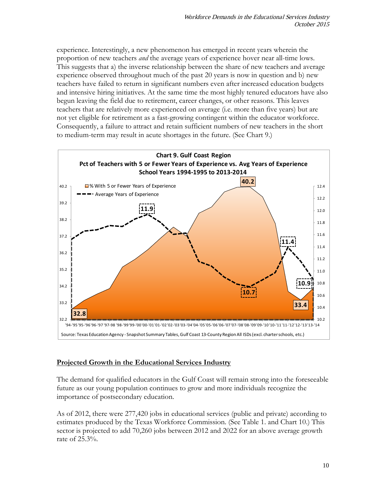experience. Interestingly, a new phenomenon has emerged in recent years wherein the proportion of new teachers *and* the average years of experience hover near all-time lows. This suggests that a) the inverse relationship between the share of new teachers and average experience observed throughout much of the past 20 years is now in question and b) new teachers have failed to return in significant numbers even after increased education budgets and intensive hiring initiatives. At the same time the most highly tenured educators have also begun leaving the field due to retirement, career changes, or other reasons. This leaves teachers that are relatively more experienced on average (i.e. more than five years) but are not yet eligible for retirement as a fast-growing contingent within the educator workforce. Consequently, a failure to attract and retain sufficient numbers of new teachers in the short to medium-term may result in acute shortages in the future. (See Chart 9.)



## **Projected Growth in the Educational Services Industry**

The demand for qualified educators in the Gulf Coast will remain strong into the foreseeable future as our young population continues to grow and more individuals recognize the importance of postsecondary education.

As of 2012, there were 277,420 jobs in educational services (public and private) according to estimates produced by the Texas Workforce Commission. (See Table 1. and Chart 10.) This sector is projected to add 70,260 jobs between 2012 and 2022 for an above average growth rate of 25.3%.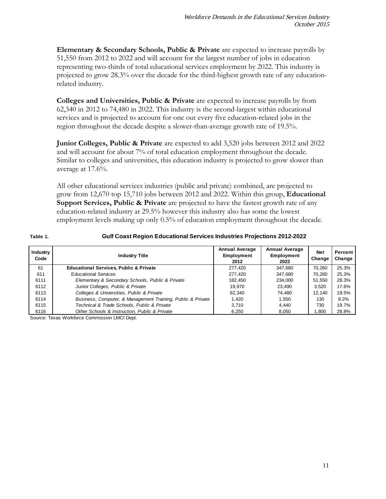**Elementary & Secondary Schools, Public & Private** are expected to increase payrolls by 51,550 from 2012 to 2022 and will account for the largest number of jobs in education representing two-thirds of total educational services employment by 2022. This industry is projected to grow 28.3% over the decade for the third-highest growth rate of any educationrelated industry.

**Colleges and Universities, Public & Private** are expected to increase payrolls by from 62,340 in 2012 to 74,480 in 2022. This industry is the second-largest within educational services and is projected to account for one out every five education-related jobs in the region throughout the decade despite a slower-than-average growth rate of 19.5%.

**Junior Colleges, Public & Private** are expected to add 3,520 jobs between 2012 and 2022 and will account for about 7% of total education employment throughout the decade. Similar to colleges and universities, this education industry is projected to grow slower than average at 17.6%.

All other educational services industries (public and private) combined, are projected to grow from 12,670 top 15,710 jobs between 2012 and 2022. Within this group, **Educational Support Services, Public & Private** are projected to have the fastest growth rate of any education-related industry at 29.5% however this industry also has some the lowest employment levels making up only 0.5% of education employment throughout the decade.

#### **Table 1.**

### **Gulf Coast Region Educational Services Industries Projections 2012-2022**

| Industry<br>Code | <b>Industry Title</b>                                       | <b>Annual Average</b><br>Employment<br>2012 | <b>Annual Average</b><br><b>Employment</b><br>2022 | <b>Net</b><br>Change | Percent<br>Change |
|------------------|-------------------------------------------------------------|---------------------------------------------|----------------------------------------------------|----------------------|-------------------|
| 61               | <b>Educational Services, Public &amp; Private</b>           | 277.420                                     | 347.680                                            | 70.260               | 25.3%             |
| 611              | <b>Educational Services</b>                                 | 277.420                                     | 347.680                                            | 70.260               | 25.3%             |
| 6111             | Elementary & Secondary Schools, Public & Private            | 182.450                                     | 234.000                                            | 51.550               | 28.3%             |
| 6112             | Junior Colleges, Public & Private                           | 19,970                                      | 23.490                                             | 3.520                | 17.6%             |
| 6113             | Colleges & Universities, Public & Private                   | 62,340                                      | 74.480                                             | 12.140               | 19.5%             |
| 6114             | Business, Computer, & Management Training, Public & Private | 1.420                                       | 1.550                                              | 130                  | 9.2%              |
| 6115             | Technical & Trade Schools, Public & Private                 | 3.710                                       | 4.440                                              | 730                  | 19.7%             |
| 6116             | Other Schools & Instruction, Public & Private               | 6,250                                       | 8.050                                              | 1.800                | 28.8%             |

Source: Texas Workforce Commission LMCI Dept.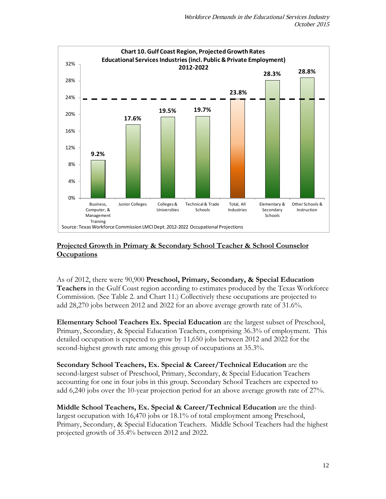

### **Projected Growth in Primary & Secondary School Teacher & School Counselor Occupations**

As of 2012, there were 90,900 **Preschool, Primary, Secondary, & Special Education Teachers** in the Gulf Coast region according to estimates produced by the Texas Workforce Commission. (See Table 2. and Chart 11.) Collectively these occupations are projected to add 28,270 jobs between 2012 and 2022 for an above average growth rate of 31.6%.

**Elementary School Teachers Ex. Special Education** are the largest subset of Preschool, Primary, Secondary, & Special Education Teachers, comprising 36.3% of employment. This detailed occupation is expected to grow by 11,650 jobs between 2012 and 2022 for the second-highest growth rate among this group of occupations at 35.3%.

**Secondary School Teachers, Ex. Special & Career/Technical Education** are the second-largest subset of Preschool, Primary, Secondary, & Special Education Teachers accounting for one in four jobs in this group. Secondary School Teachers are expected to add 6,240 jobs over the 10-year projection period for an above average growth rate of 27%.

**Middle School Teachers, Ex. Special & Career/Technical Education** are the thirdlargest occupation with 16,470 jobs or 18.1% of total employment among Preschool, Primary, Secondary, & Special Education Teachers. Middle School Teachers had the highest projected growth of 35.4% between 2012 and 2022.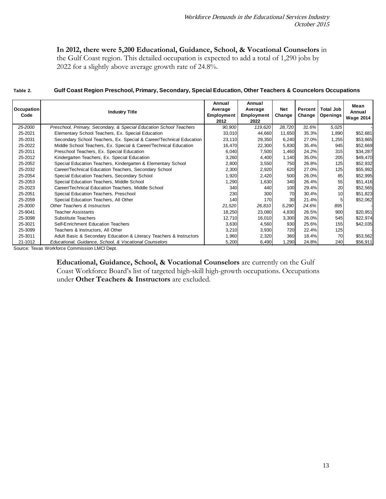# **In 2012, there were 5,200 Educational, Guidance, School, & Vocational Counselors** in

the Gulf Coast region. This detailed occupation is expected to add a total of 1,290 jobs by 2022 for a slightly above average growth rate of 24.8%.

| Table 2. | Gulf Coast Region Preschool, Primary, Secondary, Special Education, Other Teachers & Councelors Occupations |
|----------|-------------------------------------------------------------------------------------------------------------|
|          |                                                                                                             |

| Occupation<br>Code                            | <b>Industry Title</b>                                               | Annual<br>Average<br>Employment<br>2012 | Annual<br>Average<br>Employment<br>2022 | Net<br>Change | Percent<br>Change | <b>Total Job</b><br>Openings | Mean<br>Annual<br><b>Wage 2014</b> |
|-----------------------------------------------|---------------------------------------------------------------------|-----------------------------------------|-----------------------------------------|---------------|-------------------|------------------------------|------------------------------------|
| 25-2000                                       | Preschool, Primary, Secondary, & Special Education School Teachers  | 90,900                                  | 119,620                                 | 28,720        | 31.6%             | 5,025                        |                                    |
| 25-2021                                       | Elementary School Teachers, Ex. Special Education                   | 33,010                                  | 44,660                                  | 11,650        | 35.3%             | 1,890                        | \$52,681                           |
| 25-2031                                       | Secondary School Teachers, Ex. Special & Career/Technical Education | 23,110                                  | 29,350                                  | 6,240         | 27.0%             | 1,255                        | \$53,865                           |
| 25-2022                                       | Middle School Teachers, Ex. Special & Career/Technical Education    | 16,470                                  | 22,300                                  | 5,830         | 35.4%             | 945                          | \$52,669                           |
| 25-2011                                       | Preschool Teachers, Ex. Special Education                           | 6,040                                   | 7,500                                   | 1,460         | 24.2%             | 315                          | \$34,287                           |
| 25-2012                                       | Kindergarten Teachers, Ex. Special Education                        | 3,260                                   | 4,400                                   | 1,140         | 35.0%             | 205                          | \$49,470                           |
| 25-2052                                       | Special Education Teachers, Kindergarten & Elementary School        | 2,800                                   | 3,550                                   | 750           | 26.8%             | 125                          | \$52,932                           |
| 25-2032                                       | Career/Technical Education Teachers, Secondary School               | 2,300                                   | 2,920                                   | 620           | 27.0%             | 125                          | \$55,992                           |
| 25-2054                                       | Special Education Teachers, Secondary School                        | 1,920                                   | 2,420                                   | 500           | 26.0%             | 85                           | \$52,995                           |
| 25-2053                                       | Special Education Teachers, Middle School                           | 1,290                                   | 1,630                                   | 340           | 26.4%             | 55                           | \$51,416                           |
| 25-2023                                       | Career/Technical Education Teachers, Middle School                  | 340                                     | 440                                     | 100           | 29.4%             | 20                           | \$52,565                           |
| 25-2051                                       | Special Education Teachers, Preschool                               | 230                                     | 300                                     | 70            | 30.4%             | 10                           | \$51,823                           |
| 25-2059                                       | Special Education Teachers, All Other                               | 140                                     | <b>170</b>                              | 30            | 21.4%             |                              | \$52,062                           |
| 25-3000                                       | Other Teachers & Instructors                                        | 21,520                                  | 26,810                                  | 5,290         | 24.6%             | 895                          |                                    |
| 25-9041                                       | <b>Teacher Assistants</b>                                           | 18,250                                  | 23,080                                  | 4,830         | 26.5%             | 900                          | \$20,951                           |
| 25-3098                                       | Substitute Teachers                                                 | 12,710                                  | 16,010                                  | 3,300         | 26.0%             | 545                          | \$22,974                           |
| 25-3021                                       | Self-Enrichment Education Teachers                                  | 3,630                                   | 4,560                                   | 930           | 25.6%             | 155                          | \$42,035                           |
| 25-3099                                       | Teachers & Instructors, All Other                                   | 3,210                                   | 3,930                                   | 720           | 22.4%             | 125                          |                                    |
| 25-3011                                       | Adult Basic & Secondary Education & Literacy Teachers & Instructors | 1,960                                   | 2,320                                   | 360           | 18.4%             | 70                           | \$53,562                           |
| 21-1012                                       | Educational, Guidance, School, & Vocational Counselors              | 5,200                                   | 6,490                                   | .290          | 24.8%             | 240                          | \$56,911                           |
| Source: Texas Workforce Commission LMCI Dept. |                                                                     |                                         |                                         |               |                   |                              |                                    |

**Educational, Guidance, School, & Vocational Counselors** are currently on the Gulf Coast Workforce Board's list of targeted high-skill high-growth occupations. Occupations under **Other Teachers & Instructors** are excluded.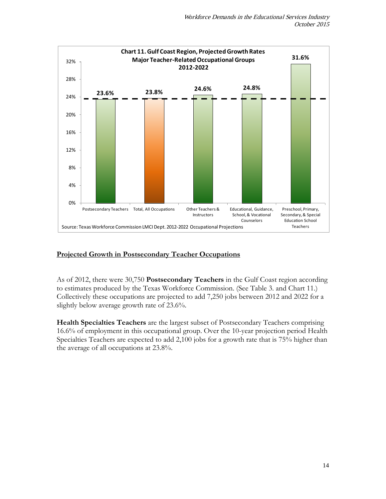

## **Projected Growth in Postsecondary Teacher Occupations**

As of 2012, there were 30,750 **Postsecondary Teachers** in the Gulf Coast region according to estimates produced by the Texas Workforce Commission. (See Table 3. and Chart 11.) Collectively these occupations are projected to add 7,250 jobs between 2012 and 2022 for a slightly below average growth rate of 23.6%.

**Health Specialties Teachers** are the largest subset of Postsecondary Teachers comprising 16.6% of employment in this occupational group. Over the 10-year projection period Health Specialties Teachers are expected to add 2,100 jobs for a growth rate that is 75% higher than the average of all occupations at 23.8%.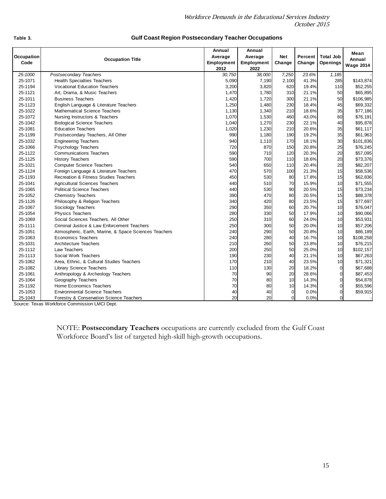| Occupation<br>Code | <b>Occupation Title</b>                               | Annual<br>Average<br>Employment<br>2012 | Annual<br>Average<br>Employment<br>2022 | <b>Net</b><br>Change | Percent<br>Change | <b>Total Job</b><br>Openings | Mean<br>Annual<br><b>Wage 2014</b> |
|--------------------|-------------------------------------------------------|-----------------------------------------|-----------------------------------------|----------------------|-------------------|------------------------------|------------------------------------|
| 25-1000            | <b>Postsecondary Teachers</b>                         | 30,750                                  | 38,000                                  | 7,250                | 23.6%             | 1,185                        |                                    |
| 25-1071            | <b>Health Specialties Teachers</b>                    | 5,090                                   | 7,190                                   | 2,100                | 41.3%             | 285                          | \$143,874                          |
| 25-1194            | <b>Vocational Education Teachers</b>                  | 3,200                                   | 3,820                                   | 620                  | 19.4%             | 110                          | \$52,255                           |
| 25-1121            | Art, Drama, & Music Teachers                          | 1,470                                   | 1,780                                   | 310                  | 21.1%             | 50                           | \$65,895                           |
| 25-1011            | <b>Business Teachers</b>                              | 1,420                                   | 1,720                                   | 300                  | 21.1%             | 50                           | \$106,985                          |
| 25-1123            | English Language & Literature Teachers                | 1,250                                   | 1,480                                   | 230                  | 18.4%             | 45                           | \$69,332                           |
| 25-1022            | <b>Mathematical Science Teachers</b>                  | 1,130                                   | 1,340                                   | 210                  | 18.6%             | 35                           | \$77,186                           |
| 25-1072            | Nursing Instructors & Teachers                        | 1,070                                   | 1,530                                   | 460                  | 43.0%             | 60                           | \$76,191                           |
| 25-1042            | <b>Biological Science Teachers</b>                    | 1,040                                   | 1,270                                   | 230                  | 22.1%             | 40                           | \$95,878                           |
| 25-1081            | <b>Education Teachers</b>                             | 1,020                                   | 1,230                                   | 210                  | 20.6%             | 35                           | \$61,117                           |
| 25-1199            | Postsecondary Teachers, All Other                     | 990                                     | 1,180                                   | 190                  | 19.2%             | 35                           | \$61,963                           |
| 25-1032            | <b>Engineering Teachers</b>                           | 940                                     | 1,110                                   | 170                  | 18.1%             | 30                           | \$101,836                          |
| 25-1066            | Psychology Teachers                                   | 720                                     | 870                                     | 150                  | 20.8%             | 25                           | \$76,245                           |
| 25-1122            | <b>Communications Teachers</b>                        | 590                                     | 710                                     | 120                  | 20.3%             | 20                           | \$57,095                           |
| 25-1125            | <b>History Teachers</b>                               | 590                                     | 700                                     | 110                  | 18.6%             | 20                           | \$73,376                           |
| 25-1021            | <b>Computer Science Teachers</b>                      | 540                                     | 650                                     | 110                  | 20.4%             | 20                           | \$82,207                           |
| 25-1124            | Foreign Language & Literature Teachers                | 470                                     | 570                                     | 100                  | 21.3%             | 15                           | \$58,536                           |
| 25-1193            | Recreation & Fitness Studies Teachers                 | 450                                     | 530                                     | 80                   | 17.8%             | 15                           | \$62,836                           |
| 25-1041            | <b>Agricultural Sciences Teachers</b>                 | 440                                     | 510                                     | 70                   | 15.9%             | 10                           | \$71,555                           |
| 25-1065            | <b>Political Science Teachers</b>                     | 440                                     | 530                                     | 90                   | 20.5%             | 15                           | \$73,234                           |
| 25-1052            | <b>Chemistry Teachers</b>                             | 390                                     | 470                                     | 80                   | 20.5%             | 15                           | \$88,378                           |
| 25-1126            | Philosophy & Religion Teachers                        | 340                                     | 420                                     | 80                   | 23.5%             | 15                           | \$77,697                           |
| 25-1067            | Sociology Teachers                                    | 290                                     | 350                                     | 60                   | 20.7%             | 10                           | \$76,047                           |
| 25-1054            | <b>Physics Teachers</b>                               | 280                                     | 330                                     | 50                   | 17.9%             | 10                           | \$90,066                           |
| 25-1069            | Social Sciences Teachers, All Other                   | 250                                     | 310                                     | 60                   | 24.0%             | 10                           | \$53,931                           |
| 25-1111            | Criminal Justice & Law Enforcement Teachers           | 250                                     | 300                                     | 50                   | 20.0%             | 10                           | \$57,206                           |
| 25-1051            | Atmospheric, Earth, Marine, & Space Sciences Teachers | 240                                     | 290                                     | 50                   | 20.8%             | 10                           | \$86,189                           |
| 25-1063            | <b>Economics Teachers</b>                             | 240                                     | 280                                     | 40                   | 16.7%             | 10                           | \$108,258                          |
| 25-1031            | <b>Architecture Teachers</b>                          | 210                                     | 260                                     | 50                   | 23.8%             | 10                           | \$76,215                           |
| 25-1112            | Law Teachers                                          | 200                                     | 250                                     | 50                   | 25.0%             | 10                           | \$102,157                          |
| 25-1113            | Social Work Teachers                                  | 190                                     | 230                                     | 40                   | 21.1%             | 10                           | \$67,263                           |
| 25-1062            | Area, Ethnic, & Cultural Studies Teachers             | 170                                     | 210                                     | 40                   | 23.5%             | 10                           | \$71,321                           |
| 25-1082            | <b>Library Science Teachers</b>                       | 110                                     | 130                                     | 20                   | 18.2%             | $\overline{0}$               | \$67,688                           |
| 25-1061            | Anthropology & Archeology Teachers                    | 70                                      | 90                                      | 20                   | 28.6%             | $\overline{0}$               | \$87,453                           |
| 25-1064            | Geography Teachers                                    | 70                                      | 80                                      | 10                   | 14.3%             | 0                            | \$54,878                           |
| 25-1192            | Home Economics Teachers                               | 70                                      | 80                                      | 10 <sup>1</sup>      | 14.3%             | $\overline{0}$               | \$55,596                           |

#### **Table 3.**

#### **Gulf Coast Region Postsecondary Teacher Occupations**

Source: Texas Workforce Commission LMCI Dept.

Forestry & Conservation Science Teachers

NOTE: **Postsecondary Teachers** occupations are currently excluded from the Gulf Coast Workforce Board's list of targeted high-skill high-growth occupations.

25-1192 Home Economics Teachers 70 80 10 14.3% 0 \$55,596 25-1053 Environmental Science Teachers (1990) 12-100 40 40 0 0.0% 0 \$59,915<br>25-1043 Environmental Science Teachers (20 0 0.0% 0 1 0.0% 0 1 0.0% 0 1 0.0% 0 1 0.0% 0 1 0.0% 0 1 0.0% 0 1 0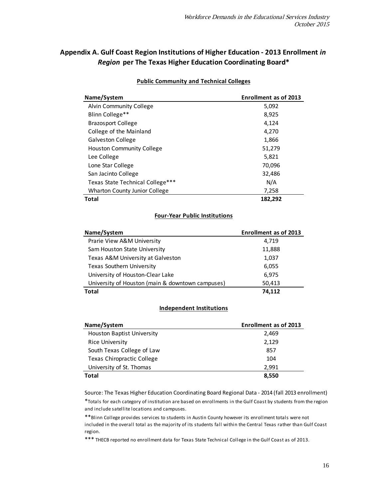# **Appendix A. Gulf Coast Region Institutions of Higher Education - 2013 Enrollment** *in Region* **per The Texas Higher Education Coordinating Board\***

| Name/System                          | <b>Enrollment as of 2013</b> |
|--------------------------------------|------------------------------|
| Alvin Community College              | 5,092                        |
| Blinn College**                      | 8,925                        |
| <b>Brazosport College</b>            | 4,124                        |
| College of the Mainland              | 4,270                        |
| <b>Galveston College</b>             | 1,866                        |
| <b>Houston Community College</b>     | 51,279                       |
| Lee College                          | 5,821                        |
| Lone Star College                    | 70,096                       |
| San Jacinto College                  | 32,486                       |
| Texas State Technical College***     | N/A                          |
| <b>Wharton County Junior College</b> | 7,258                        |
| <b>Total</b>                         | 182,292                      |

### **Public Community and Technical Colleges**

### **Four-Year Public Institutions**

| Name/System                                      | <b>Enrollment as of 2013</b> |
|--------------------------------------------------|------------------------------|
| Prarie View A&M University                       | 4.719                        |
| Sam Houston State University                     | 11,888                       |
| Texas A&M University at Galveston                | 1,037                        |
| <b>Texas Southern University</b>                 | 6,055                        |
| University of Houston-Clear Lake                 | 6,975                        |
| University of Houston (main & downtown campuses) | 50,413                       |
| <b>Total</b>                                     | 74.112                       |

### **Independent Institutions**

| Name/System                       | <b>Enrollment as of 2013</b> |
|-----------------------------------|------------------------------|
| <b>Houston Baptist University</b> | 2,469                        |
| <b>Rice University</b>            | 2,129                        |
| South Texas College of Law        | 857                          |
| Texas Chiropractic College        | 104                          |
| University of St. Thomas          | 2.991                        |
| <b>Total</b>                      | 8,550                        |

Source: The Texas Higher Education Coordinating Board Regional Data - 2014 (fall 2013 enrollment)

\*Totals for each category of institution are based on enrollments in the Gulf Coast by students from the region and include satellite locations and campuses.

\*\*Blinn College provides services to students in Austin County however its enrollment totals were not included in the overall total as the majority of its students fall within the Central Texas rather than Gulf Coast region.

\*\*\* THECB reported no enrollment data for Texas State Technical College in the Gulf Coast as of 2013.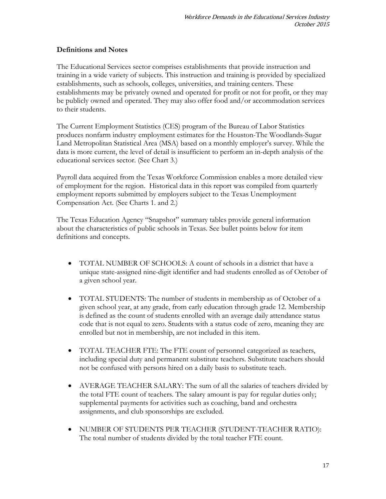### **Definitions and Notes**

The Educational Services sector comprises establishments that provide instruction and training in a wide variety of subjects. This instruction and training is provided by specialized establishments, such as schools, colleges, universities, and training centers. These establishments may be privately owned and operated for profit or not for profit, or they may be publicly owned and operated. They may also offer food and/or accommodation services to their students.

The Current Employment Statistics (CES) program of the Bureau of Labor Statistics produces nonfarm industry employment estimates for the Houston-The Woodlands-Sugar Land Metropolitan Statistical Area (MSA) based on a monthly employer's survey. While the data is more current, the level of detail is insufficient to perform an in-depth analysis of the educational services sector. (See Chart 3.)

Payroll data acquired from the Texas Workforce Commission enables a more detailed view of employment for the region. Historical data in this report was compiled from quarterly employment reports submitted by employers subject to the Texas Unemployment Compensation Act. (See Charts 1. and 2.)

The Texas Education Agency "Snapshot" summary tables provide general information about the characteristics of public schools in Texas. See bullet points below for item definitions and concepts.

- TOTAL NUMBER OF SCHOOLS: A count of schools in a district that have a unique state-assigned nine-digit identifier and had students enrolled as of October of a given school year.
- TOTAL STUDENTS: The number of students in membership as of October of a given school year, at any grade, from early education through grade 12. Membership is defined as the count of students enrolled with an average daily attendance status code that is not equal to zero. Students with a status code of zero, meaning they are enrolled but not in membership, are not included in this item.
- TOTAL TEACHER FTE: The FTE count of personnel categorized as teachers, including special duty and permanent substitute teachers. Substitute teachers should not be confused with persons hired on a daily basis to substitute teach.
- AVERAGE TEACHER SALARY: The sum of all the salaries of teachers divided by the total FTE count of teachers. The salary amount is pay for regular duties only; supplemental payments for activities such as coaching, band and orchestra assignments, and club sponsorships are excluded.
- NUMBER OF STUDENTS PER TEACHER (STUDENT-TEACHER RATIO): The total number of students divided by the total teacher FTE count.